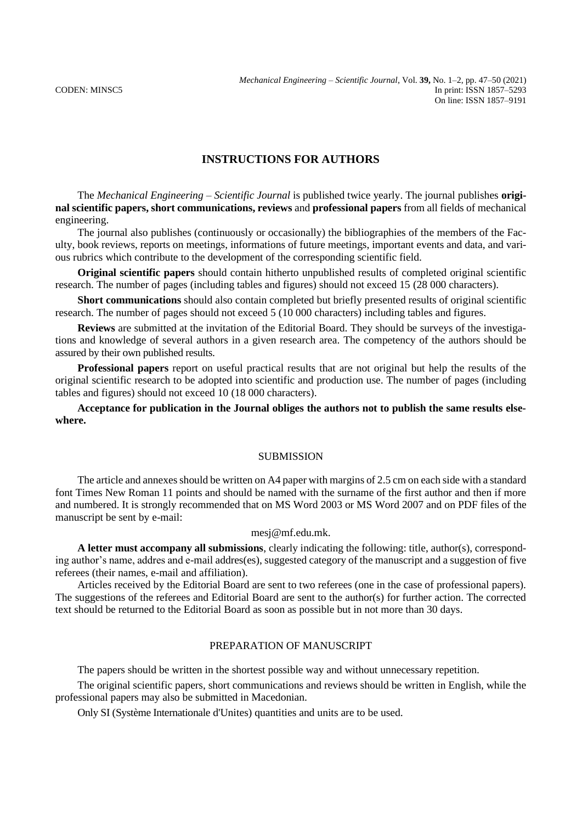# **INSTRUCTIONS FOR AUTHORS**

The *Mechanical Engineering – Scientific Journal* is published twice yearly. The journal publishes **original scientific papers, short communications, reviews** and **professional papers** from all fields of mechanical engineering.

The journal also publishes (continuously or occasionally) the bibliographies of the members of the Faculty, book reviews, reports on meetings, informations of future meetings, important events and data, and various rubrics which contribute to the development of the corresponding scientific field.

**Original scientific papers** should contain hitherto unpublished results of completed original scientific research. The number of pages (including tables and figures) should not exceed 15 (28 000 characters).

**Short communications** should also contain completed but briefly presented results of original scientific research. The number of pages should not exceed 5 (10 000 characters) including tables and figures.

**Reviews** are submitted at the invitation of the Editorial Board. They should be surveys of the investigations and knowledge of several authors in a given research area. The competency of the authors should be assured by their own published results.

**Professional papers** report on useful practical results that are not original but help the results of the original scientific research to be adopted into scientific and production use. The number of pages (including tables and figures) should not exceed 10 (18 000 characters).

## **Acceptance for publication in the Journal obliges the authors not to publish the same results elsewhere.**

### **SUBMISSION**

The article and annexes should be written on A4 paper with margins of 2.5 cm on each side with a standard font Times New Roman 11 points and should be named with the surname of the first author and then if more and numbered. It is strongly recommended that on MS Word 2003 or MS Word 2007 and on PDF files of the manuscript be sent by e-mail:

### mesj@mf.edu.mk.

**A letter must accompany all submissions**, clearly indicating the following: title, author(s), corresponding author's name, addres and e-mail addres(es), suggested category of the manuscript and a suggestion of five referees (their names, e-mail and affiliation).

Articles received by the Editorial Board are sent to two referees (one in the case of professional papers). The suggestions of the referees and Editorial Board are sent to the author(s) for further action. The corrected text should be returned to the Editorial Board as soon as possible but in not more than 30 days.

#### PREPARATION OF MANUSCRIPT

The papers should be written in the shortest possible way and without unnecessary repetition.

The original scientific papers, short communications and reviews should be written in English, while the professional papers may also be submitted in Macedonian.

Only SI (Système Internationale d'Unites) quantities and units are to be used.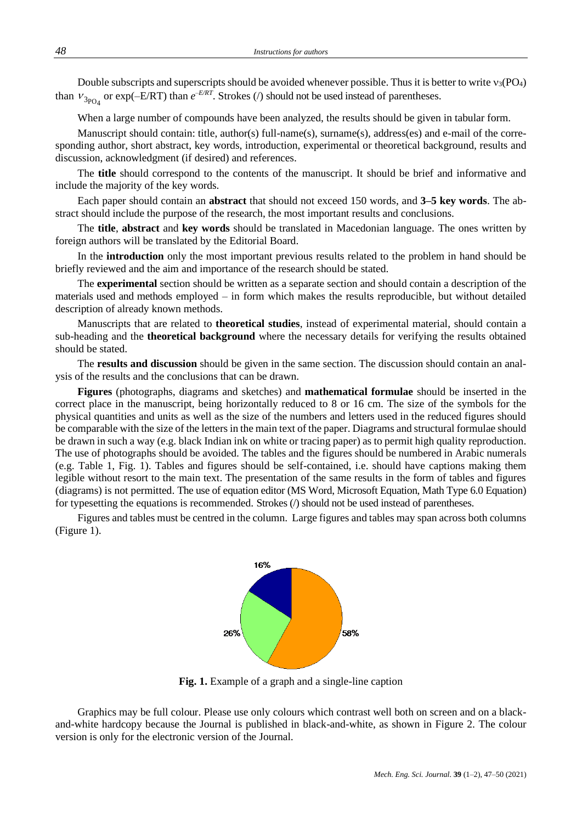Double subscripts and superscripts should be avoided whenever possible. Thus it is better to write  $v_3(PO_4)$ than  $v_{3p_{04}}$  or exp( $-E/RT$ ) than  $e^{-E/RT}$ . Strokes (*/*) should not be used instead of parentheses.

When a large number of compounds have been analyzed, the results should be given in tabular form.

Manuscript should contain: title, author(s) full-name(s), surname(s), address(es) and e-mail of the corresponding author, short abstract, key words, introduction, experimental or theoretical background, results and discussion, acknowledgment (if desired) and references.

The **title** should correspond to the contents of the manuscript. It should be brief and informative and include the majority of the key words.

Each paper should contain an **abstract** that should not exceed 150 words, and **3–5 key words**. The abstract should include the purpose of the research, the most important results and conclusions.

The **title**, **abstract** and **key words** should be translated in Macedonian language. The ones written by foreign authors will be translated by the Editorial Board.

In the **introduction** only the most important previous results related to the problem in hand should be briefly reviewed and the aim and importance of the research should be stated.

The **experimental** section should be written as a separate section and should contain a description of the materials used and methods employed – in form which makes the results reproducible, but without detailed description of already known methods.

Manuscripts that are related to **theoretical studies**, instead of experimental material, should contain a sub-heading and the **theoretical background** where the necessary details for verifying the results obtained should be stated.

The **results and discussion** should be given in the same section. The discussion should contain an analysis of the results and the conclusions that can be drawn.

**Figures** (photographs, diagrams and sketches) and **mathematical formulae** should be inserted in the correct place in the manuscript, being horizontally reduced to 8 or 16 cm. The size of the symbols for the physical quantities and units as well as the size of the numbers and letters used in the reduced figures should be comparable with the size of the letters in the main text of the paper. Diagrams and structural formulae should be drawn in such a way (e.g. black Indian ink on white or tracing paper) as to permit high quality reproduction. The use of photographs should be avoided. The tables and the figures should be numbered in Arabic numerals (e.g. Table 1, Fig. 1). Tables and figures should be self-contained, i.e. should have captions making them legible without resort to the main text. The presentation of the same results in the form of tables and figures (diagrams) is not permitted. The use of equation editor (MS Word, Microsoft Equation, Math Type 6.0 Equation) for typesetting the equations is recommended. Strokes (/) should not be used instead of parentheses.

Figures and tables must be centred in the column. Large figures and tables may span across both columns (Figure 1).



**Fig. 1.** Example of a graph and a single-line caption

Graphics may be full colour. Please use only colours which contrast well both on screen and on a blackand-white hardcopy because the Journal is published in black-and-white, as shown in Figure 2. The colour version is only for the electronic version of the Journal.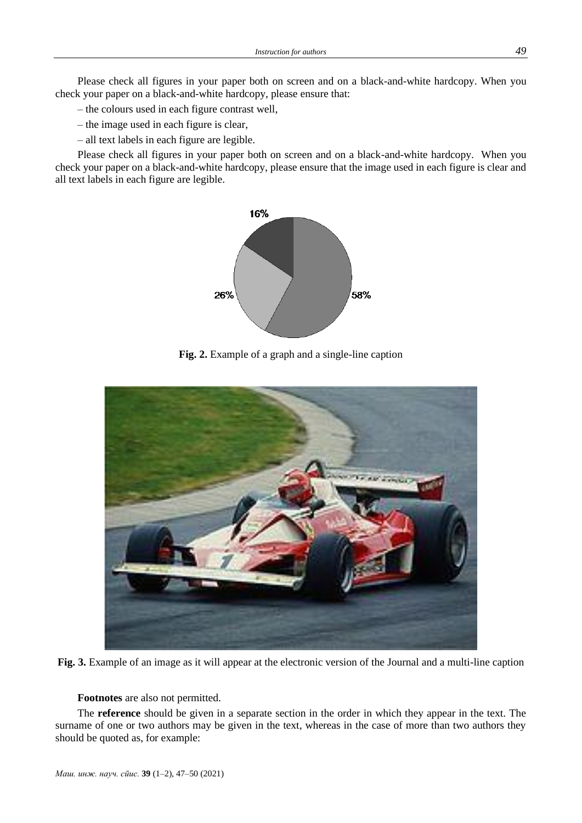Please check all figures in your paper both on screen and on a black-and-white hardcopy. When you check your paper on a black-and-white hardcopy, please ensure that:

- the colours used in each figure contrast well,
- the image used in each figure is clear,
- all text labels in each figure are legible.

Please check all figures in your paper both on screen and on a black-and-white hardcopy. When you check your paper on a black-and-white hardcopy, please ensure that the image used in each figure is clear and all text labels in each figure are legible.



**Fig. 2.** Example of a graph and a single-line caption



**Fig. 3.** Example of an image as it will appear at the electronic version of the Journal and a multi-line caption

**Footnotes** are also not permitted.

The **reference** should be given in a separate section in the order in which they appear in the text. The surname of one or two authors may be given in the text, whereas in the case of more than two authors they should be quoted as, for example: